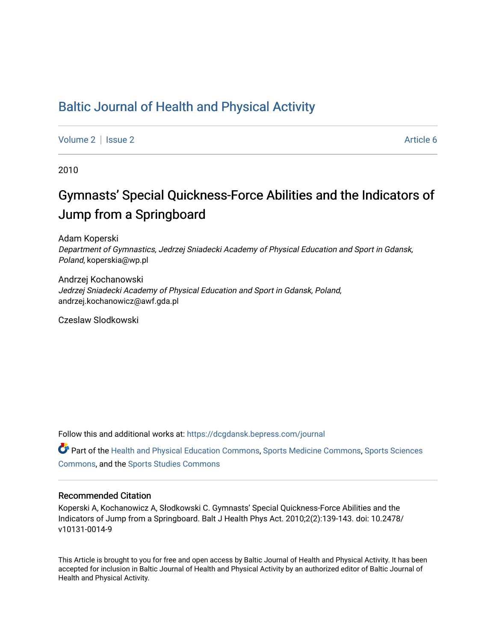## [Baltic Journal of Health and Physical Activity](https://dcgdansk.bepress.com/journal)

[Volume 2](https://dcgdansk.bepress.com/journal/vol2) | [Issue 2](https://dcgdansk.bepress.com/journal/vol2/iss2) Article 6

2010

# Gymnasts' Special Quickness-Force Abilities and the Indicators of Jump from a Springboard

Adam Koperski Department of Gymnastics, Jedrzej Sniadecki Academy of Physical Education and Sport in Gdansk, Poland, koperskia@wp.pl

Andrzej Kochanowski Jedrzej Sniadecki Academy of Physical Education and Sport in Gdansk, Poland, andrzej.kochanowicz@awf.gda.pl

Czeslaw Slodkowski

Follow this and additional works at: [https://dcgdansk.bepress.com/journal](https://dcgdansk.bepress.com/journal?utm_source=dcgdansk.bepress.com%2Fjournal%2Fvol2%2Fiss2%2F6&utm_medium=PDF&utm_campaign=PDFCoverPages)

Part of the [Health and Physical Education Commons](http://network.bepress.com/hgg/discipline/1327?utm_source=dcgdansk.bepress.com%2Fjournal%2Fvol2%2Fiss2%2F6&utm_medium=PDF&utm_campaign=PDFCoverPages), [Sports Medicine Commons,](http://network.bepress.com/hgg/discipline/1331?utm_source=dcgdansk.bepress.com%2Fjournal%2Fvol2%2Fiss2%2F6&utm_medium=PDF&utm_campaign=PDFCoverPages) [Sports Sciences](http://network.bepress.com/hgg/discipline/759?utm_source=dcgdansk.bepress.com%2Fjournal%2Fvol2%2Fiss2%2F6&utm_medium=PDF&utm_campaign=PDFCoverPages) [Commons](http://network.bepress.com/hgg/discipline/759?utm_source=dcgdansk.bepress.com%2Fjournal%2Fvol2%2Fiss2%2F6&utm_medium=PDF&utm_campaign=PDFCoverPages), and the [Sports Studies Commons](http://network.bepress.com/hgg/discipline/1198?utm_source=dcgdansk.bepress.com%2Fjournal%2Fvol2%2Fiss2%2F6&utm_medium=PDF&utm_campaign=PDFCoverPages) 

#### Recommended Citation

Koperski A, Kochanowicz A, Słodkowski C. Gymnasts' Special Quickness-Force Abilities and the Indicators of Jump from a Springboard. Balt J Health Phys Act. 2010;2(2):139-143. doi: 10.2478/ v10131-0014-9

This Article is brought to you for free and open access by Baltic Journal of Health and Physical Activity. It has been accepted for inclusion in Baltic Journal of Health and Physical Activity by an authorized editor of Baltic Journal of Health and Physical Activity.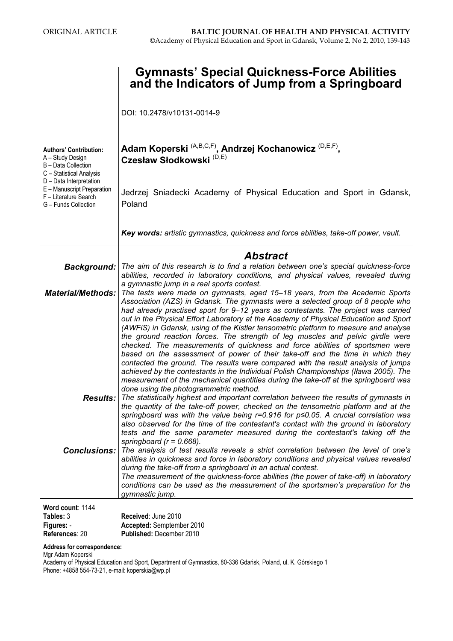|                                                                                                                                                                                                                | <b>Gymnasts' Special Quickness-Force Abilities</b><br>and the Indicators of Jump from a Springboard                                                                                                                                                                                                                                                                                                                                                                                                                                                                                                                                                                                                                                                                                                                                                                                                                                                                                                  |
|----------------------------------------------------------------------------------------------------------------------------------------------------------------------------------------------------------------|------------------------------------------------------------------------------------------------------------------------------------------------------------------------------------------------------------------------------------------------------------------------------------------------------------------------------------------------------------------------------------------------------------------------------------------------------------------------------------------------------------------------------------------------------------------------------------------------------------------------------------------------------------------------------------------------------------------------------------------------------------------------------------------------------------------------------------------------------------------------------------------------------------------------------------------------------------------------------------------------------|
|                                                                                                                                                                                                                | DOI: 10.2478/v10131-0014-9                                                                                                                                                                                                                                                                                                                                                                                                                                                                                                                                                                                                                                                                                                                                                                                                                                                                                                                                                                           |
| <b>Authors' Contribution:</b><br>A - Study Design<br>B - Data Collection<br>C - Statistical Analysis<br>D - Data Interpretation<br>E - Manuscript Preparation<br>F - Literature Search<br>G - Funds Collection | Adam Koperski <sup>(A,B,C,F)</sup> , Andrzej Kochanowicz <sup>(D,E,F)</sup> ,<br>Czesław Słodkowski <sup>(D,E)</sup>                                                                                                                                                                                                                                                                                                                                                                                                                                                                                                                                                                                                                                                                                                                                                                                                                                                                                 |
|                                                                                                                                                                                                                | Jedrzej Sniadecki Academy of Physical Education and Sport in Gdansk,<br>Poland                                                                                                                                                                                                                                                                                                                                                                                                                                                                                                                                                                                                                                                                                                                                                                                                                                                                                                                       |
|                                                                                                                                                                                                                | Key words: artistic gymnastics, quickness and force abilities, take-off power, vault.                                                                                                                                                                                                                                                                                                                                                                                                                                                                                                                                                                                                                                                                                                                                                                                                                                                                                                                |
|                                                                                                                                                                                                                | <b>Abstract</b>                                                                                                                                                                                                                                                                                                                                                                                                                                                                                                                                                                                                                                                                                                                                                                                                                                                                                                                                                                                      |
| <b>Background:</b>                                                                                                                                                                                             | The aim of this research is to find a relation between one's special quickness-force<br>abilities, recorded in laboratory conditions, and physical values, revealed during<br>a gymnastic jump in a real sports contest.                                                                                                                                                                                                                                                                                                                                                                                                                                                                                                                                                                                                                                                                                                                                                                             |
| <b>Material/Methods:</b>                                                                                                                                                                                       | The tests were made on gymnasts, aged 15-18 years, from the Academic Sports<br>Association (AZS) in Gdansk. The gymnasts were a selected group of 8 people who<br>had already practised sport for 9–12 years as contestants. The project was carried<br>out in the Physical Effort Laboratory at the Academy of Physical Education and Sport<br>(AWFIS) in Gdansk, using of the Kistler tensometric platform to measure and analyse<br>the ground reaction forces. The strength of leg muscles and pelvic girdle were<br>checked. The measurements of quickness and force abilities of sportsmen were<br>based on the assessment of power of their take-off and the time in which they<br>contacted the ground. The results were compared with the result analysis of jumps<br>achieved by the contestants in the Individual Polish Championships (Iława 2005). The<br>measurement of the mechanical quantities during the take-off at the springboard was<br>done using the photogrammetric method. |
|                                                                                                                                                                                                                | <b>Results:</b> The statistically highest and important correlation between the results of gymnasts in<br>the quantity of the take-off power, checked on the tensometric platform and at the<br>springboard was with the value being $r=0.916$ for $p\leq 0.05$ . A crucial correlation was<br>also observed for the time of the contestant's contact with the ground in laboratory<br>tests and the same parameter measured during the contestant's taking off the<br>springboard ( $r = 0.668$ ).                                                                                                                                                                                                                                                                                                                                                                                                                                                                                                  |
| <b>Conclusions:</b>                                                                                                                                                                                            | The analysis of test results reveals a strict correlation between the level of one's<br>abilities in quickness and force in laboratory conditions and physical values revealed<br>during the take-off from a springboard in an actual contest.<br>The measurement of the quickness-force abilities (the power of take-off) in laboratory<br>conditions can be used as the measurement of the sportsmen's preparation for the<br>gymnastic jump.                                                                                                                                                                                                                                                                                                                                                                                                                                                                                                                                                      |
| Word count: 1144                                                                                                                                                                                               |                                                                                                                                                                                                                                                                                                                                                                                                                                                                                                                                                                                                                                                                                                                                                                                                                                                                                                                                                                                                      |
| Tables: 3                                                                                                                                                                                                      | Received: June 2010                                                                                                                                                                                                                                                                                                                                                                                                                                                                                                                                                                                                                                                                                                                                                                                                                                                                                                                                                                                  |

Figures: - References: 20 Accepted: Semptember 2010 Published: December 2010

#### Address for correspondence:

Mgr Adam Koperski

Academy of Physical Education and Sport, Department of Gymnastics, 80-336 Gdańsk, Poland, ul. K. Górskiego 1 Phone: +4858 554-73-21, e-mail: koperskia@wp.pl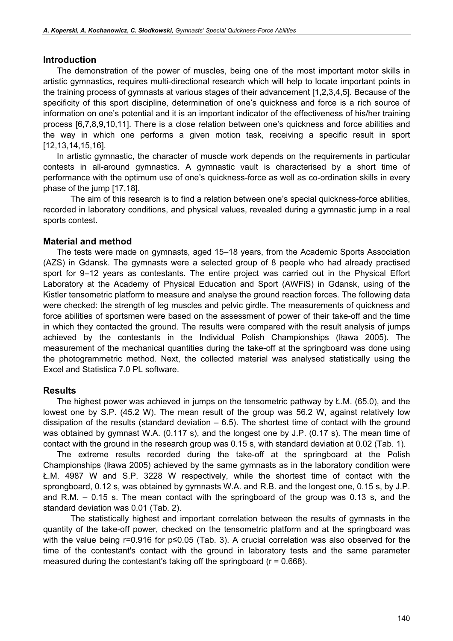#### Introduction

The demonstration of the power of muscles, being one of the most important motor skills in artistic gymnastics, requires multi-directional research which will help to locate important points in the training process of gymnasts at various stages of their advancement [1,2,3,4,5]. Because of the specificity of this sport discipline, determination of one's quickness and force is a rich source of information on one's potential and it is an important indicator of the effectiveness of his/her training process [6,7,8,9,10,11]. There is a close relation between one's quickness and force abilities and the way in which one performs a given motion task, receiving a specific result in sport [12,13,14,15,16].

In artistic gymnastic, the character of muscle work depends on the requirements in particular contests in all-around gymnastics. A gymnastic vault is characterised by a short time of performance with the optimum use of one's quickness-force as well as co-ordination skills in every phase of the jump [17,18].

The aim of this research is to find a relation between one's special quickness-force abilities, recorded in laboratory conditions, and physical values, revealed during a gymnastic jump in a real sports contest.

#### Material and method

The tests were made on gymnasts, aged 15–18 years, from the Academic Sports Association (AZS) in Gdansk. The gymnasts were a selected group of 8 people who had already practised sport for 9–12 years as contestants. The entire project was carried out in the Physical Effort Laboratory at the Academy of Physical Education and Sport (AWFiS) in Gdansk, using of the Kistler tensometric platform to measure and analyse the ground reaction forces. The following data were checked: the strength of leg muscles and pelvic girdle. The measurements of quickness and force abilities of sportsmen were based on the assessment of power of their take-off and the time in which they contacted the ground. The results were compared with the result analysis of jumps achieved by the contestants in the Individual Polish Championships (Iława 2005). The measurement of the mechanical quantities during the take-off at the springboard was done using the photogrammetric method. Next, the collected material was analysed statistically using the Excel and Statistica 7.0 PL software.

#### Results

The highest power was achieved in jumps on the tensometric pathway by Ł.M. (65.0), and the lowest one by S.P. (45.2 W). The mean result of the group was 56.2 W, against relatively low dissipation of the results (standard deviation  $-6.5$ ). The shortest time of contact with the ground was obtained by gymnast W.A. (0.117 s), and the longest one by J.P. (0.17 s). The mean time of contact with the ground in the research group was 0.15 s, with standard deviation at 0.02 (Tab. 1).

The extreme results recorded during the take-off at the springboard at the Polish Championships (Iława 2005) achieved by the same gymnasts as in the laboratory condition were Ł.M. 4987 W and S.P. 3228 W respectively, while the shortest time of contact with the sprongboard, 0.12 s, was obtained by gymnasts W.A. and R.B. and the longest one, 0.15 s, by J.P. and R.M. – 0.15 s. The mean contact with the springboard of the group was 0.13 s, and the standard deviation was 0.01 (Tab. 2).

The statistically highest and important correlation between the results of gymnasts in the quantity of the take-off power, checked on the tensometric platform and at the springboard was with the value being r=0.916 for p≤0.05 (Tab. 3). A crucial correlation was also observed for the time of the contestant's contact with the ground in laboratory tests and the same parameter measured during the contestant's taking off the springboard ( $r = 0.668$ ).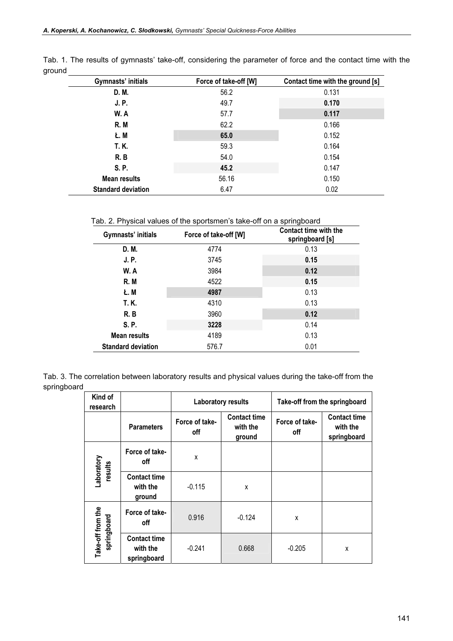|                                                  | Gymnasts' initials | Force of take-off [W] | Contact time with the ground [s] |  |
|--------------------------------------------------|--------------------|-----------------------|----------------------------------|--|
|                                                  | D. M.              | 56.2                  | 0.131                            |  |
| <b>J.P.</b>                                      |                    | 49.7                  | 0.170                            |  |
|                                                  | W.A                | 57.7                  | 0.117                            |  |
|                                                  | R.M                | 62.2                  | 0.166                            |  |
|                                                  | Ł. M               | 65.0                  | 0.152                            |  |
| T. K.<br>R.B                                     |                    | 59.3                  | 0.164                            |  |
|                                                  |                    | 54.0                  | 0.154                            |  |
|                                                  | S. P.              | 45.2                  | 0.147                            |  |
| <b>Mean results</b><br><b>Standard deviation</b> |                    | 56.16                 | 0.150                            |  |
|                                                  |                    | 6.47                  | 0.02                             |  |

Tab. 1. The results of gymnasts' take-off, considering the parameter of force and the contact time with the ground

Tab. 2. Physical values of the sportsmen's take-off on a springboard

| Gymnasts' initials        | Force of take-off [W] | Contact time with the<br>springboard [s] |  |
|---------------------------|-----------------------|------------------------------------------|--|
| D. M.                     | 4774                  | 0.13                                     |  |
| <b>J.P.</b>               | 3745                  | 0.15                                     |  |
| W. A                      | 3984                  | 0.12                                     |  |
| R.M                       | 4522                  | 0.15                                     |  |
| Ł. M                      | 4987                  | 0.13                                     |  |
| T. K.                     | 4310                  | 0.13                                     |  |
| R.B                       | 3960                  | 0.12                                     |  |
| S. P.                     | 3228                  | 0.14                                     |  |
| Mean results              | 4189                  | 0.13                                     |  |
| <b>Standard deviation</b> | 576.7                 | 0.01                                     |  |

Tab. 3. The correlation between laboratory results and physical values during the take-off from the springboard

| Kind of<br>research              |                                                | <b>Laboratory results</b> |                                           | Take-off from the springboard |                                                |
|----------------------------------|------------------------------------------------|---------------------------|-------------------------------------------|-------------------------------|------------------------------------------------|
|                                  | <b>Parameters</b>                              | Force of take-<br>off     | <b>Contact time</b><br>with the<br>ground | Force of take-<br>off         | <b>Contact time</b><br>with the<br>springboard |
| Laboratory<br>results            | Force of take-<br>off                          | X                         |                                           |                               |                                                |
|                                  | <b>Contact time</b><br>with the<br>ground      | $-0.115$                  | X                                         |                               |                                                |
| Take-off from the<br>springboard | Force of take-<br>off                          | 0.916                     | $-0.124$                                  | X                             |                                                |
|                                  | <b>Contact time</b><br>with the<br>springboard | $-0.241$                  | 0.668                                     | $-0.205$                      | X                                              |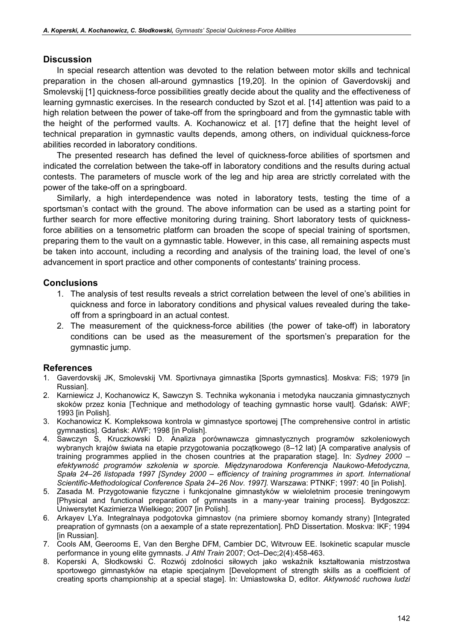#### **Discussion**

In special research attention was devoted to the relation between motor skills and technical preparation in the chosen all-around gymnastics [19,20]. In the opinion of Gaverdovskij and Smolevskij [1] quickness-force possibilities greatly decide about the quality and the effectiveness of learning gymnastic exercises. In the research conducted by Szot et al. [14] attention was paid to a high relation between the power of take-off from the springboard and from the gymnastic table with the height of the performed vaults. A. Kochanowicz et al. [17] define that the height level of technical preparation in gymnastic vaults depends, among others, on individual quickness-force abilities recorded in laboratory conditions.

The presented research has defined the level of quickness-force abilities of sportsmen and indicated the correlation between the take-off in laboratory conditions and the results during actual contests. The parameters of muscle work of the leg and hip area are strictly correlated with the power of the take-off on a springboard.

Similarly, a high interdependence was noted in laboratory tests, testing the time of a sportsman's contact with the ground. The above information can be used as a starting point for further search for more effective monitoring during training. Short laboratory tests of quicknessforce abilities on a tensometric platform can broaden the scope of special training of sportsmen, preparing them to the vault on a gymnastic table. However, in this case, all remaining aspects must be taken into account, including a recording and analysis of the training load, the level of one's advancement in sport practice and other components of contestants' training process.

#### **Conclusions**

- 1. The analysis of test results reveals a strict correlation between the level of one's abilities in quickness and force in laboratory conditions and physical values revealed during the takeoff from a springboard in an actual contest.
- 2. The measurement of the quickness-force abilities (the power of take-off) in laboratory conditions can be used as the measurement of the sportsmen's preparation for the gymnastic jump.

### References

- 1. Gaverdovskij JK, Smolevskij VM. Sportivnaya gimnastika [Sports gymnastics]. Moskva: FiS; 1979 [in Russian].
- 2. Karniewicz J, Kochanowicz K, Sawczyn S. Technika wykonania i metodyka nauczania gimnastycznych skoków przez konia [Technique and methodology of teaching gymnastic horse vault]. Gdańsk: AWF; 1993 [in Polish].
- 3. Kochanowicz K. Kompleksowa kontrola w gimnastyce sportowej [The comprehensive control in artistic gymnastics]. Gdańsk: AWF; 1998 [in Polish].
- 4. Sawczyn S, Kruczkowski D. Analiza porównawcza gimnastycznych programów szkoleniowych wybranych krajów świata na etapie przygotowania początkowego (8–12 lat) [A comparative analysis of training programmes applied in the chosen countries at the praparation stage]. In: Sydney 2000 – efektywność programów szkolenia w sporcie. Międzynarodowa Konferencja Naukowo-Metodyczna, Spała 24–26 listopada 1997 [Syndey 2000 – efficiency of training programmes in sport. International Scientific-Methodological Conference Spała 24–26 Nov. 1997]. Warszawa: PTNKF; 1997: 40 [in Polish].
- 5. Zasada M. Przygotowanie fizyczne i funkcjonalne gimnastyków w wieloletnim procesie treningowym [Physical and functional preparation of gymnasts in a many-year training process]. Bydgoszcz: Uniwersytet Kazimierza Wielkiego; 2007 [in Polish].
- 6. Arkayev LYa. Integralnaya podgotovka gimnastov (na primiere sbornoy komandy strany) [Integrated preapration of gymnasts (on a aexample of a state reprezentation]. PhD Dissertation. Moskva: IKF; 1994 [in Russian].
- 7. Cools AM, Geerooms E, Van den Berghe DFM, Cambier DC, Witvrouw EE. Isokinetic scapular muscle performance in young elite gymnasts. J Athl Train 2007; Oct–Dec;2(4):458-463.
- 8. Koperski A, Słodkowski C. Rozwój zdolności siłowych jako wskaźnik kształtowania mistrzostwa sportowego gimnastyków na etapie specjalnym [Development of strength skills as a coefficient of creating sports championship at a special stage]. In: Umiastowska D, editor. Aktywność ruchowa ludzi